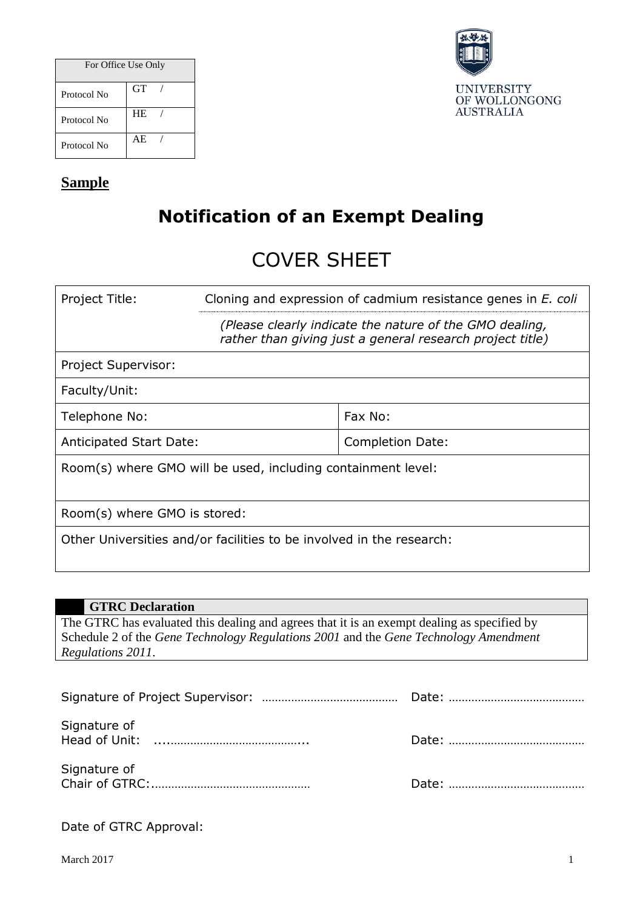| For Office Use Only |           |  |
|---------------------|-----------|--|
| Protocol No         | <b>GT</b> |  |
| Protocol No         | <b>HE</b> |  |
| Protocol No         | AE        |  |



## **Sample**

## **Notification of an Exempt Dealing**

# COVER SHEET

| Project Title:                                                       | Cloning and expression of cadmium resistance genes in E. coli                                                        |                  |  |
|----------------------------------------------------------------------|----------------------------------------------------------------------------------------------------------------------|------------------|--|
|                                                                      | (Please clearly indicate the nature of the GMO dealing,<br>rather than giving just a general research project title) |                  |  |
| Project Supervisor:                                                  |                                                                                                                      |                  |  |
| Faculty/Unit:                                                        |                                                                                                                      |                  |  |
| Telephone No:                                                        |                                                                                                                      | Fax No:          |  |
| <b>Anticipated Start Date:</b>                                       |                                                                                                                      | Completion Date: |  |
| Room(s) where GMO will be used, including containment level:         |                                                                                                                      |                  |  |
| Room(s) where GMO is stored:                                         |                                                                                                                      |                  |  |
| Other Universities and/or facilities to be involved in the research: |                                                                                                                      |                  |  |

## **GTRC Declaration** The GTRC has evaluated this dealing and agrees that it is an exempt dealing as specified by Schedule 2 of the *Gene Technology Regulations 2001* and the *Gene Technology Amendment Regulations 2011*.

| Signature of |  |
|--------------|--|
| Signature of |  |

|  |  |  | Date of GTRC Approval: |
|--|--|--|------------------------|
|--|--|--|------------------------|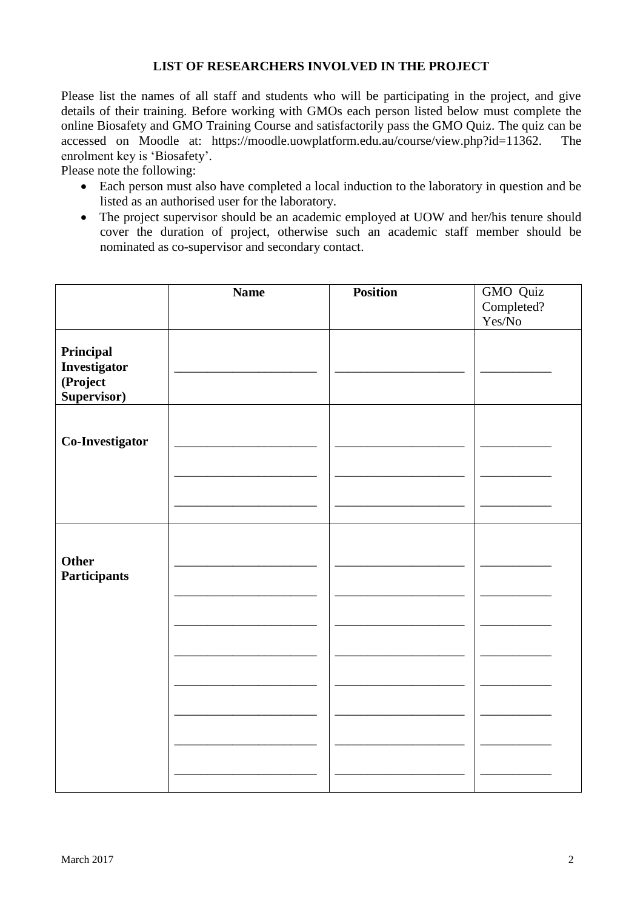#### **LIST OF RESEARCHERS INVOLVED IN THE PROJECT**

Please list the names of all staff and students who will be participating in the project, and give details of their training. Before working with GMOs each person listed below must complete the online Biosafety and GMO Training Course and satisfactorily pass the GMO Quiz. The quiz can be accessed on Moodle at: https://moodle.uowplatform.edu.au/course/view.php?id=11362. The accessed on Moodle at: https://moodle.uowplatform.edu.au/course/view.php?id=11362. enrolment key is 'Biosafety'.

Please note the following:

- Each person must also have completed a local induction to the laboratory in question and be listed as an authorised user for the laboratory.
- The project supervisor should be an academic employed at UOW and her/his tenure should cover the duration of project, otherwise such an academic staff member should be nominated as co-supervisor and secondary contact.

|                 | <b>Name</b> | <b>Position</b> | GMO Quiz   |
|-----------------|-------------|-----------------|------------|
|                 |             |                 | Completed? |
|                 |             |                 | Yes/No     |
|                 |             |                 |            |
| Principal       |             |                 |            |
| Investigator    |             |                 |            |
| (Project        |             |                 |            |
| Supervisor)     |             |                 |            |
|                 |             |                 |            |
|                 |             |                 |            |
| Co-Investigator |             |                 |            |
|                 |             |                 |            |
|                 |             |                 |            |
|                 |             |                 |            |
|                 |             |                 |            |
|                 |             |                 |            |
|                 |             |                 |            |
|                 |             |                 |            |
| Other           |             |                 |            |
| Participants    |             |                 |            |
|                 |             |                 |            |
|                 |             |                 |            |
|                 |             |                 |            |
|                 |             |                 |            |
|                 |             |                 |            |
|                 |             |                 |            |
|                 |             |                 |            |
|                 |             |                 |            |
|                 |             |                 |            |
|                 |             |                 |            |
|                 |             |                 |            |
|                 |             |                 |            |
|                 |             |                 |            |
|                 |             |                 |            |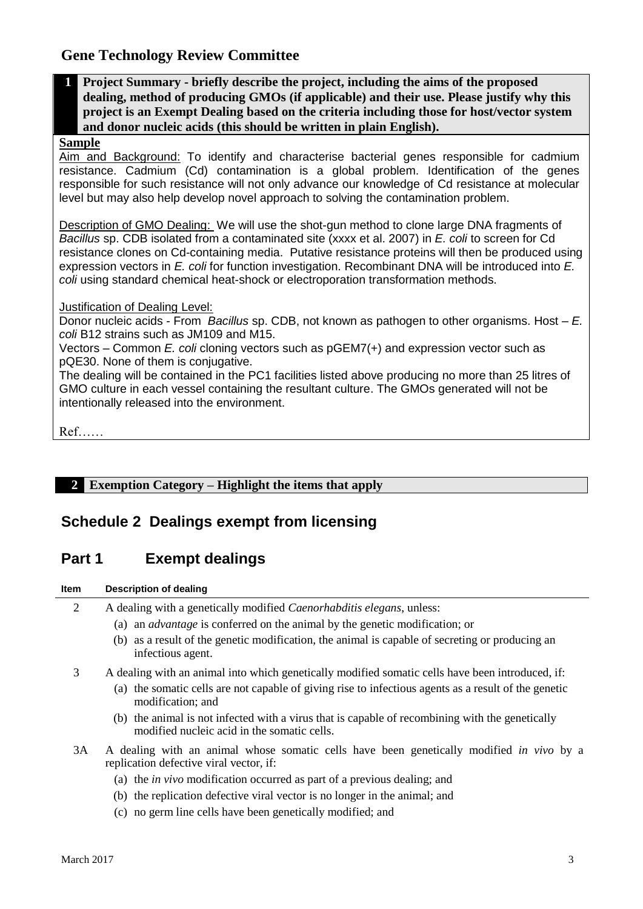## **Gene Technology Review Committee**

**1 Project Summary - briefly describe the project, including the aims of the proposed dealing, method of producing GMOs (if applicable) and their use. Please justify why this project is an Exempt Dealing based on the criteria including those for host/vector system and donor nucleic acids (this should be written in plain English).**

#### **Sample**

Aim and Background: To identify and characterise bacterial genes responsible for cadmium resistance. Cadmium (Cd) contamination is a global problem. Identification of the genes responsible for such resistance will not only advance our knowledge of Cd resistance at molecular level but may also help develop novel approach to solving the contamination problem.

Description of GMO Dealing: We will use the shot-gun method to clone large DNA fragments of *Bacillus* sp. CDB isolated from a contaminated site (xxxx et al. 2007) in *E. coli* to screen for Cd resistance clones on Cd-containing media. Putative resistance proteins will then be produced using expression vectors in *E. coli* for function investigation. Recombinant DNA will be introduced into *E. coli* using standard chemical heat-shock or electroporation transformation methods.

#### Justification of Dealing Level:

Donor nucleic acids - From *Bacillus* sp. CDB, not known as pathogen to other organisms. Host – *E. coli* B12 strains such as JM109 and M15.

Vectors – Common *E. coli* cloning vectors such as pGEM7(+) and expression vector such as pQE30. None of them is conjugative.

The dealing will be contained in the PC1 facilities listed above producing no more than 25 litres of GMO culture in each vessel containing the resultant culture. The GMOs generated will not be intentionally released into the environment.

```
Ref……
```
## **2 Exemption Category – Highlight the items that apply**

## **Schedule 2 Dealings exempt from licensing**

## **Part 1 Exempt dealings**

#### **Item Description of dealing**

- 2 A dealing with a genetically modified *Caenorhabditis elegans*, unless:
	- (a) an *advantage* is conferred on the animal by the genetic modification; or
	- (b) as a result of the genetic modification, the animal is capable of secreting or producing an infectious agent.
- 3 A dealing with an animal into which genetically modified somatic cells have been introduced, if:
	- (a) the somatic cells are not capable of giving rise to infectious agents as a result of the genetic modification; and
	- (b) the animal is not infected with a virus that is capable of recombining with the genetically modified nucleic acid in the somatic cells.
- 3A A dealing with an animal whose somatic cells have been genetically modified *in vivo* by a replication defective viral vector, if:
	- (a) the *in vivo* modification occurred as part of a previous dealing; and
	- (b) the replication defective viral vector is no longer in the animal; and
	- (c) no germ line cells have been genetically modified; and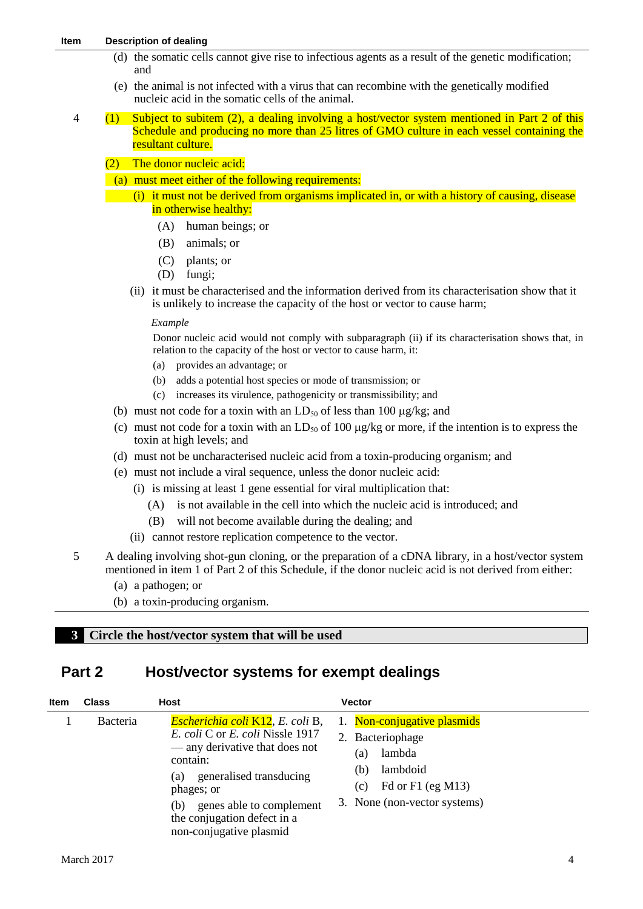- (d) the somatic cells cannot give rise to infectious agents as a result of the genetic modification; and
- (e) the animal is not infected with a virus that can recombine with the genetically modified nucleic acid in the somatic cells of the animal.
- 4 (1) Subject to subitem (2), a dealing involving a host/vector system mentioned in Part 2 of this Schedule and producing no more than 25 litres of GMO culture in each vessel containing the resultant culture.
	- (2) The donor nucleic acid:
	- (a) must meet either of the following requirements:
	- (i) it must not be derived from organisms implicated in, or with a history of causing, disease in otherwise healthy:
		- (A) human beings; or
		- (B) animals; or
		- (C) plants; or
		- (D) fungi;
		- (ii) it must be characterised and the information derived from its characterisation show that it is unlikely to increase the capacity of the host or vector to cause harm;

#### *Example*

Donor nucleic acid would not comply with subparagraph (ii) if its characterisation shows that, in relation to the capacity of the host or vector to cause harm, it:

- (a) provides an advantage; or
- (b) adds a potential host species or mode of transmission; or
- (c) increases its virulence, pathogenicity or transmissibility; and
- (b) must not code for a toxin with an  $LD_{50}$  of less than 100  $\mu$ g/kg; and
- (c) must not code for a toxin with an  $LD_{50}$  of 100  $\mu$ g/kg or more, if the intention is to express the toxin at high levels; and
- (d) must not be uncharacterised nucleic acid from a toxin-producing organism; and
- (e) must not include a viral sequence, unless the donor nucleic acid:
	- (i) is missing at least 1 gene essential for viral multiplication that:
		- (A) is not available in the cell into which the nucleic acid is introduced; and
		- (B) will not become available during the dealing; and
	- (ii) cannot restore replication competence to the vector.
- 5 A dealing involving shot-gun cloning, or the preparation of a cDNA library, in a host/vector system mentioned in item 1 of Part 2 of this Schedule, if the donor nucleic acid is not derived from either:
	- (a) a pathogen; or
	- (b) a toxin-producing organism.

#### **3 Circle the host/vector system that will be used**

### **Part 2 Host/vector systems for exempt dealings**

| <b>Item</b> | <b>Class</b> | <b>Host</b>                                                                                                                                                                                                                                                                           | <b>Vector</b>                                                                                                                                   |
|-------------|--------------|---------------------------------------------------------------------------------------------------------------------------------------------------------------------------------------------------------------------------------------------------------------------------------------|-------------------------------------------------------------------------------------------------------------------------------------------------|
|             | Bacteria     | <b>Escherichia coli K12</b> , E. coli B,<br><i>E. coli</i> C or <i>E. coli</i> Nissle 1917<br>— any derivative that does not<br>contain:<br>generalised transducing<br>(a)<br>phages; or<br>genes able to complement<br>(b)<br>the conjugation defect in a<br>non-conjugative plasmid | 1. Non-conjugative plasmids<br>2. Bacteriophage<br>lambda<br>(a)<br>lambdoid<br>(b)<br>Fd or F1 (eg M13)<br>(c)<br>3. None (non-vector systems) |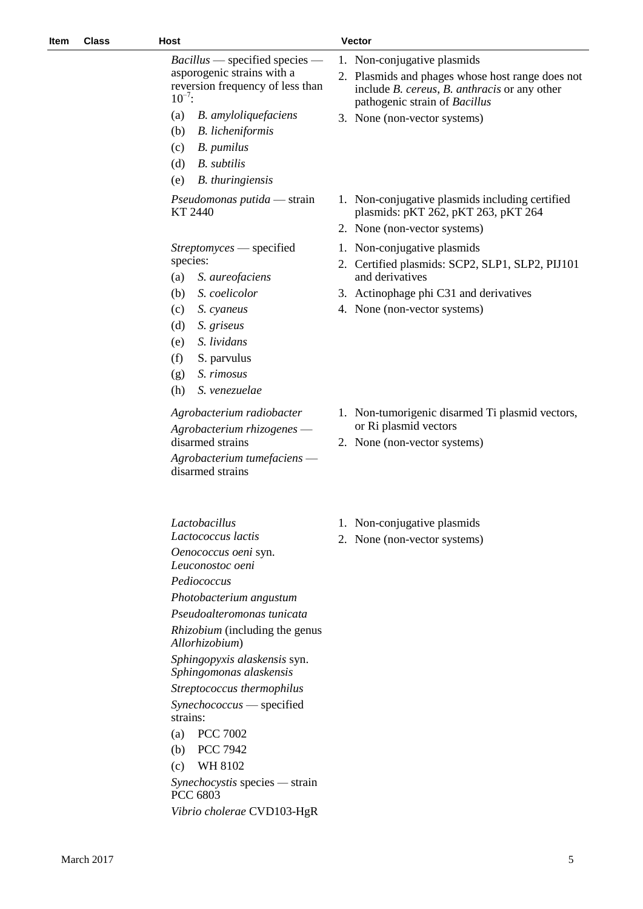*Bacillus* — specified species asporogenic strains with a reversion frequency of less than  $10^{-7}$ :

- (a) *B. amyloliquefaciens*
- (b) *B. licheniformis*
- (c) *B. pumilus*
- (d) *B. subtilis*
- (e) *B. thuringiensis*

*Pseudomonas putida* — strain KT 2440

*Streptomyces* — specified species:

- (a) *S. aureofaciens*
- (b) *S. coelicolor*
- (c) *S. cyaneus*
- (d) *S. griseus*
- (e) *S. lividans*
- (f) S. parvulus
- (g) *S. rimosus*
- (h) *S. venezuelae*

#### *Agrobacterium radiobacter*

*Agrobacterium rhizogenes* disarmed strains

*Agrobacterium tumefaciens* disarmed strains

*Lactobacillus*

*Lactococcus lactis*

*Oenococcus oeni* syn.

*Leuconostoc oeni Pediococcus*

*Photobacterium angustum*

*Pseudoalteromonas tunicata Rhizobium* (including the genus

*Allorhizobium*)

*Sphingopyxis alaskensis* syn. *Sphingomonas alaskensis*

*Streptococcus thermophilus Synechococcus* — specified strains:

- (a) PCC 7002
- (b) PCC 7942
- (c) WH 8102

*Synechocystis* species *—* strain PCC 6803

*Vibrio cholerae* CVD103-HgR

- 1. Non-conjugative plasmids 2. Plasmids and phages whose host range does not include *B. cereus*, *B. anthracis* or any other pathogenic strain of *Bacillus*
	- 3. None (non-vector systems)
	- 1. Non-conjugative plasmids including certified plasmids: pKT 262, pKT 263, pKT 264
	- 2. None (non-vector systems)
	- 1. Non-conjugative plasmids
	- 2. Certified plasmids: SCP2, SLP1, SLP2, PIJ101 and derivatives
	- 3. Actinophage phi C31 and derivatives
	- 4. None (non-vector systems)
	- 1. Non-tumorigenic disarmed Ti plasmid vectors, or Ri plasmid vectors
	- 2. None (non-vector systems)
	- 1. Non-conjugative plasmids
	- 2. None (non-vector systems)